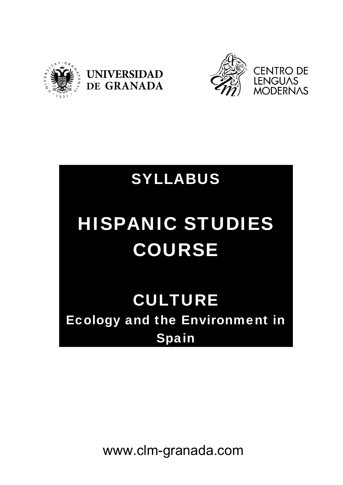





# SYLLABUS

# HISPANIC STUDIES COURSE

# CULTURE Ecology and the Environment in Spain

www.clm-granada.com